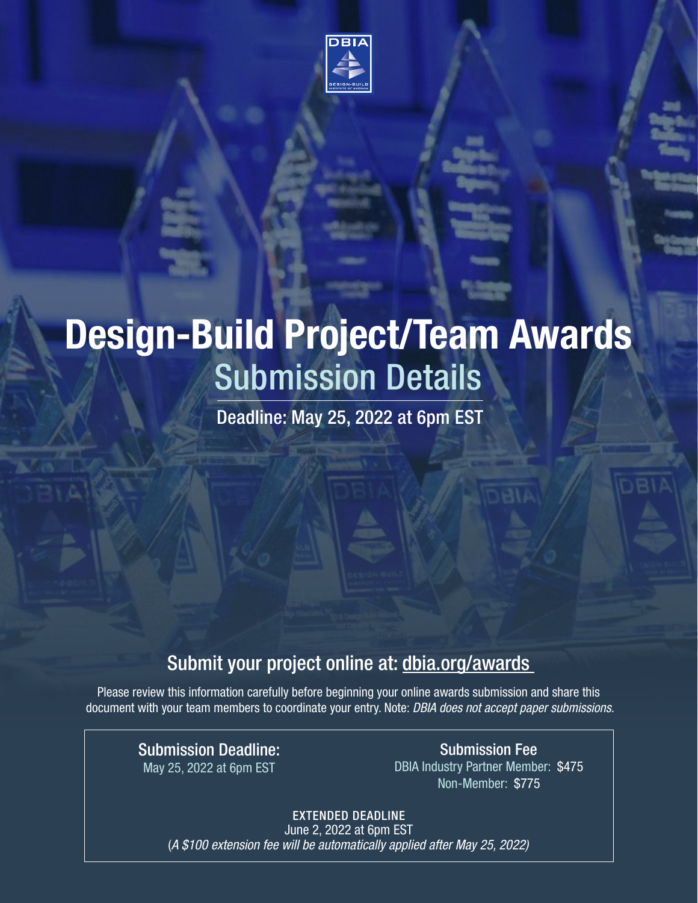

# Design-Build Project/Team Awards Submission Details

Deadline: May 25, 2022 at 6pm EST

## Submit your project online at: dbia.org/awards

Please review this information carefully before beginning your online awards submission and share this document with your team members to coordinate your entry. Note: *DBIA does not accept paper submissions.*

Submission Deadline: May 25, 2022 at 6pm EST

Submission Fee DBIA Industry Partner Member: \$475 Non-Member: \$775

EXTENDED DEADLINE June 2, 2022 at 6pm EST (*A \$100 extension fee will be automatically applied after May 25, 2022)*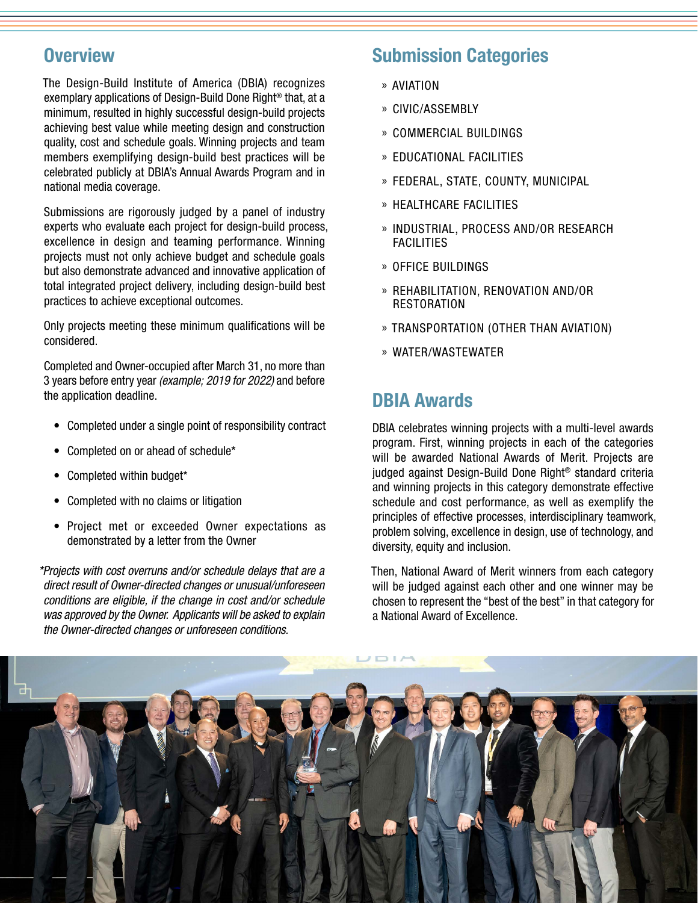### **Overview**

The Design-Build Institute of America (DBIA) recognizes exemplary applications of Design-Build Done Right® that, at a minimum, resulted in highly successful design-build projects achieving best value while meeting design and construction quality, cost and schedule goals. Winning projects and team members exemplifying design-build best practices will be celebrated publicly at DBIA's Annual Awards Program and in national media coverage.

Submissions are rigorously judged by a panel of industry experts who evaluate each project for design-build process, excellence in design and teaming performance. Winning projects must not only achieve budget and schedule goals but also demonstrate advanced and innovative application of total integrated project delivery, including design-build best practices to achieve exceptional outcomes.

Only projects meeting these minimum qualifications will be considered.

Completed and Owner-occupied after March 31, no more than 3 years before entry year *(example; 2019 for 2022)* and before the application deadline.

- Completed under a single point of responsibility contract
- Completed on or ahead of schedule\*
- Completed within budget\*
- Completed with no claims or litigation
- Project met or exceeded Owner expectations as demonstrated by a letter from the Owner

*\*Projects with cost overruns and/or schedule delays that are a direct result of Owner-directed changes or unusual/unforeseen conditions are eligible, if the change in cost and/or schedule was approved by the Owner. Applicants will be asked to explain the Owner-directed changes or unforeseen conditions.*

### Submission Categories

- » AVIATION
- » CIVIC/ASSEMBLY
- » COMMERCIAL BUILDINGS
- » EDUCATIONAL FACILITIES
- » FEDERAL, STATE, COUNTY, MUNICIPAL
- » HEALTHCARE FACILITIES
- » INDUSTRIAL, PROCESS AND/OR RESEARCH **FACILITIES**
- » OFFICE BUILDINGS
- » REHABILITATION, RENOVATION AND/OR RESTORATION
- » TRANSPORTATION (OTHER THAN AVIATION)
- » WATER/WASTEWATER

### DBIA Awards

DBIA celebrates winning projects with a multi-level awards program. First, winning projects in each of the categories will be awarded National Awards of Merit. Projects are judged against Design-Build Done Right® standard criteria and winning projects in this category demonstrate effective schedule and cost performance, as well as exemplify the principles of effective processes, interdisciplinary teamwork, problem solving, excellence in design, use of technology, and diversity, equity and inclusion.

Then, National Award of Merit winners from each category will be judged against each other and one winner may be chosen to represent the "best of the best" in that category for a National Award of Excellence.

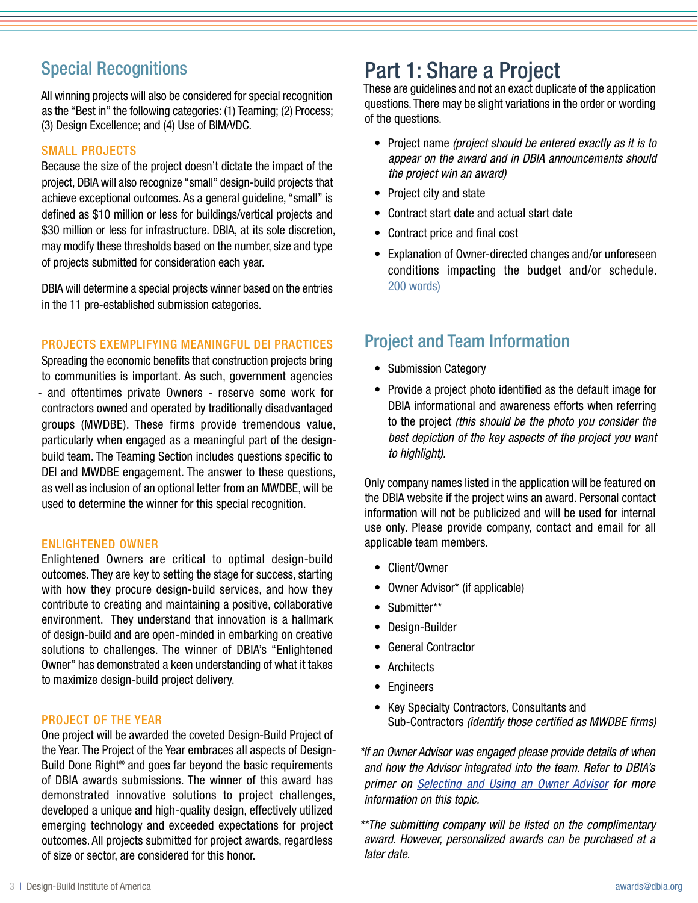### Special Recognitions

All winning projects will also be considered for special recognition as the "Best in" the following categories: (1) Teaming; (2) Process; (3) Design Excellence; and (4) Use of BIM/VDC.

#### SMALL PROJECTS

Because the size of the project doesn't dictate the impact of the project, DBIA will also recognize "small" design-build projects that achieve exceptional outcomes. As a general guideline, "small" is defined as \$10 million or less for buildings/vertical projects and \$30 million or less for infrastructure. DBIA, at its sole discretion, may modify these thresholds based on the number, size and type of projects submitted for consideration each year.

DBIA will determine a special projects winner based on the entries in the 11 pre-established submission categories.

#### PROJECTS EXEMPLIFYING MEANINGFUL DEI PRACTICES

Spreading the economic benefits that construction projects bring to communities is important. As such, government agencies - and oftentimes private Owners - reserve some work for contractors owned and operated by traditionally disadvantaged groups (MWDBE). These firms provide tremendous value, particularly when engaged as a meaningful part of the designbuild team. The Teaming Section includes questions specific to DEI and MWDBE engagement. The answer to these questions, as well as inclusion of an optional letter from an MWDBE, will be used to determine the winner for this special recognition.

#### ENLIGHTENED OWNER

Enlightened Owners are critical to optimal design-build outcomes. They are key to setting the stage for success, starting with how they procure design-build services, and how they contribute to creating and maintaining a positive, collaborative environment. They understand that innovation is a hallmark of design-build and are open-minded in embarking on creative solutions to challenges. The winner of DBIA's "Enlightened Owner" has demonstrated a keen understanding of what it takes to maximize design-build project delivery.

#### PROJECT OF THE YEAR

One project will be awarded the coveted Design-Build Project of the Year. The Project of the Year embraces all aspects of Design-Build Done Right® and goes far beyond the basic requirements of DBIA awards submissions. The winner of this award has demonstrated innovative solutions to project challenges, developed a unique and high-quality design, effectively utilized emerging technology and exceeded expectations for project outcomes. All projects submitted for project awards, regardless of size or sector, are considered for this honor.

### Part 1: Share a Project

These are guidelines and not an exact duplicate of the application questions. There may be slight variations in the order or wording of the questions.

- Project name *(project should be entered exactly as it is to appear on the award and in DBIA announcements should the project win an award)*
- Project city and state
- Contract start date and actual start date
- Contract price and final cost
- Explanation of Owner-directed changes and/or unforeseen conditions impacting the budget and/or schedule. 200 words)

### Project and Team Information

- Submission Category
- Provide a project photo identified as the default image for DBIA informational and awareness efforts when referring to the project *(this should be the photo you consider the best depiction of the key aspects of the project you want to highlight).*

Only company names listed in the application will be featured on the DBIA website if the project wins an award. Personal contact information will not be publicized and will be used for internal use only. Please provide company, contact and email for all applicable team members.

- Client/Owner
- Owner Advisor\* (if applicable)
- Submitter\*\*
- Design-Builder
- General Contractor
- Architects
- Engineers
- Key Specialty Contractors, Consultants and Sub-Contractors *(identify those certified as MWDBE firms)*

*\*If an Owner Advisor was engaged please provide details of when and how the Advisor integrated into the team. Refer to DBIA's primer on [Selecting and Using an Owner Advisor](https://s27148.pcdn.co/wp-content/uploads/2019/04/Primers-Owner-Advisor.pdf) for more information on this topic.*

*\*\*The submitting company will be listed on the complimentary award. However, personalized awards can be purchased at a later date.*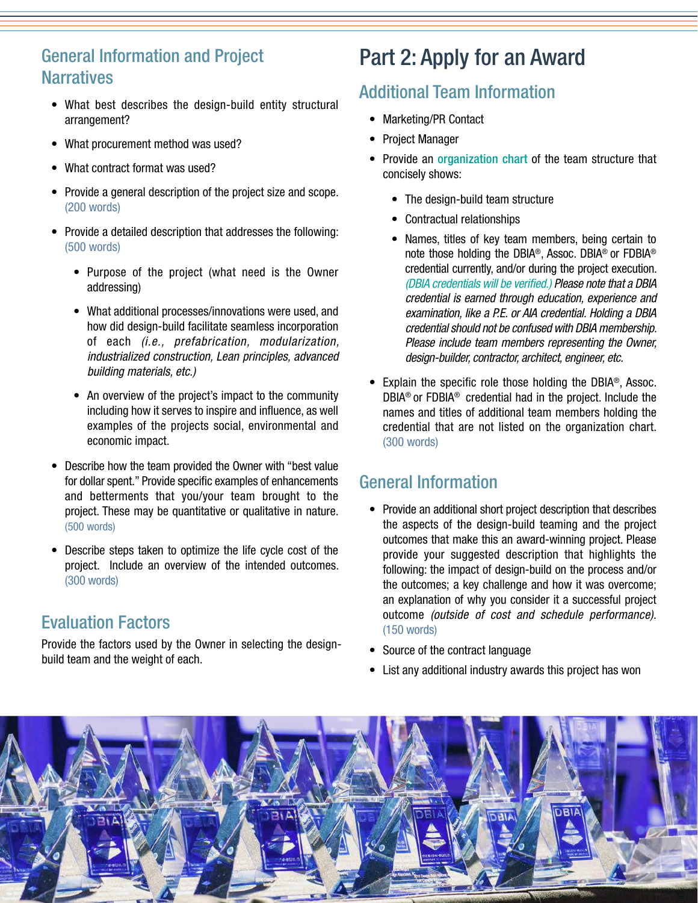### General Information and Project **Narratives**

- What best describes the design-build entity structural arrangement?
- What procurement method was used?
- What contract format was used?
- Provide a general description of the project size and scope. (200 words)
- Provide a detailed description that addresses the following: (500 words)
	- Purpose of the project (what need is the Owner addressing)
	- What additional processes/innovations were used, and how did design-build facilitate seamless incorporation of each *(i.e., prefabrication, modularization, industrialized construction, Lean principles, advanced building materials, etc.)*
	- An overview of the project's impact to the community including how it serves to inspire and influence, as well examples of the projects social, environmental and economic impact.
- Describe how the team provided the Owner with "best value for dollar spent." Provide specific examples of enhancements and betterments that you/your team brought to the project. These may be quantitative or qualitative in nature. (500 words)
- Describe steps taken to optimize the life cycle cost of the project. Include an overview of the intended outcomes. (300 words)

### Evaluation Factors

Provide the factors used by the Owner in selecting the designbuild team and the weight of each.

# Part 2: Apply for an Award

### Additional Team Information

- Marketing/PR Contact
- Project Manager
- Provide an organization chart of the team structure that concisely shows:
	- The design-build team structure
	- Contractual relationships
	- Names, titles of key team members, being certain to note those holding the DBIA®, Assoc. DBIA® or FDBIA® credential currently, and/or during the project execution. *(DBIA credentials will be verified.) Please note that a DBIA credential is earned through education, experience and examination, like a P.E. or AIA credential. Holding a DBIA credential should not be confused with DBIA membership. Please include team members representing the Owner, design-builder, contractor, architect, engineer, etc.*
- Explain the specific role those holding the DBIA®, Assoc. DBIA® or FDBIA® credential had in the project. Include the names and titles of additional team members holding the credential that are not listed on the organization chart. (300 words)

### General Information

- Provide an additional short project description that describes the aspects of the design-build teaming and the project outcomes that make this an award-winning project. Please provide your suggested description that highlights the following: the impact of design-build on the process and/or the outcomes; a key challenge and how it was overcome; an explanation of why you consider it a successful project outcome *(outside of cost and schedule performance).* (150 words)
- Source of the contract language
- List any additional industry awards this project has won

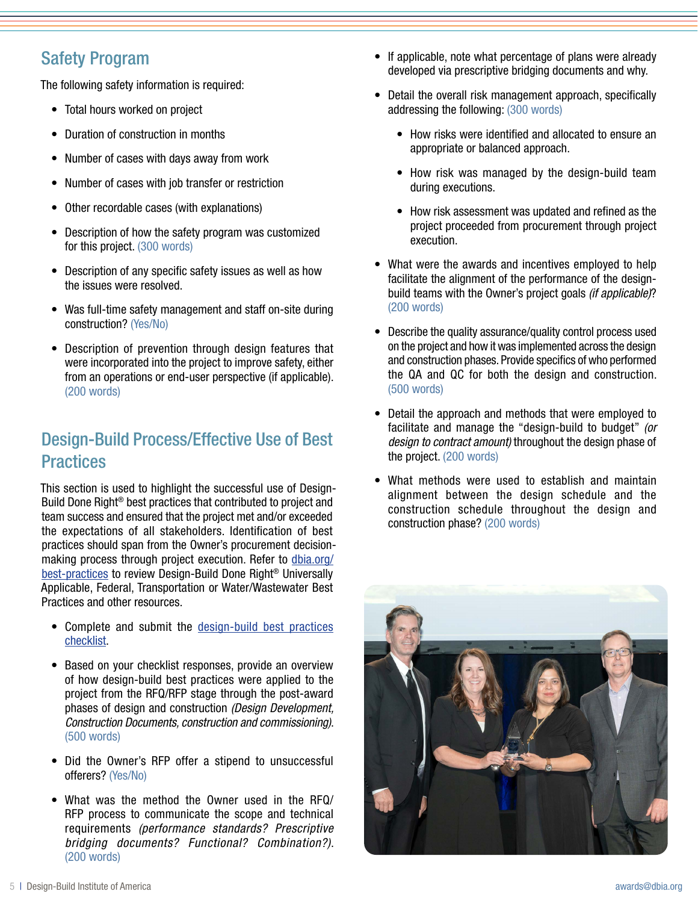### Safety Program

The following safety information is required:

- Total hours worked on project
- Duration of construction in months
- Number of cases with days away from work
- Number of cases with job transfer or restriction
- Other recordable cases (with explanations)
- Description of how the safety program was customized for this project. (300 words)
- Description of any specific safety issues as well as how the issues were resolved.
- Was full-time safety management and staff on-site during construction? (Yes/No)
- Description of prevention through design features that were incorporated into the project to improve safety, either from an operations or end-user perspective (if applicable). (200 words)

### Design-Build Process/Effective Use of Best **Practices**

This section is used to highlight the successful use of Design-Build Done Right® best practices that contributed to project and team success and ensured that the project met and/or exceeded the expectations of all stakeholders. Identification of best practices should span from the Owner's procurement decisionmaking process through project execution. Refer to [dbia.org/](http://dbia.org/best-practices) [best-practices](http://dbia.org/best-practices) to review Design-Build Done Right® Universally Applicable, Federal, Transportation or Water/Wastewater Best Practices and other resources.

- Complete and submit the [design-build best practices](http://dbia.org/wp-content/uploads/2020/12/Awards-Best-Practices-Checklist-Fillable.pdf) [checklist](http://dbia.org/wp-content/uploads/2020/12/Awards-Best-Practices-Checklist-Fillable.pdf).
- Based on your checklist responses, provide an overview of how design-build best practices were applied to the project from the RFQ/RFP stage through the post-award phases of design and construction *(Design Development, Construction Documents, construction and commissioning)*. (500 words)
- Did the Owner's RFP offer a stipend to unsuccessful offerers? (Yes/No)
- What was the method the Owner used in the RFQ/ RFP process to communicate the scope and technical requirements *(performance standards? Prescriptive bridging documents? Functional? Combination?)*. (200 words)
- If applicable, note what percentage of plans were already developed via prescriptive bridging documents and why.
- Detail the overall risk management approach, specifically addressing the following: (300 words)
	- How risks were identified and allocated to ensure an appropriate or balanced approach.
	- How risk was managed by the design-build team during executions.
	- How risk assessment was updated and refined as the project proceeded from procurement through project execution.
- What were the awards and incentives employed to help facilitate the alignment of the performance of the designbuild teams with the Owner's project goals *(if applicable)*? (200 words)
- Describe the quality assurance/quality control process used on the project and how it was implemented across the design and construction phases. Provide specifics of who performed the QA and QC for both the design and construction. (500 words)
- Detail the approach and methods that were employed to facilitate and manage the "design-build to budget" *(or design to contract amount)* throughout the design phase of the project. (200 words)
- What methods were used to establish and maintain alignment between the design schedule and the construction schedule throughout the design and construction phase? (200 words)

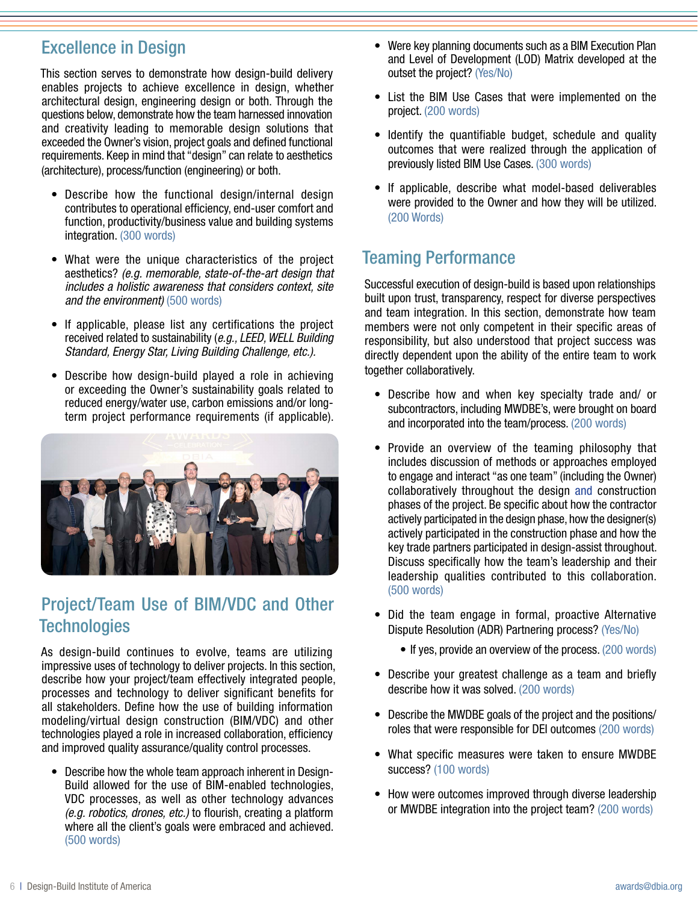### Excellence in Design

This section serves to demonstrate how design-build delivery enables projects to achieve excellence in design, whether architectural design, engineering design or both. Through the questions below, demonstrate how the team harnessed innovation and creativity leading to memorable design solutions that exceeded the Owner's vision, project goals and defined functional requirements. Keep in mind that "design" can relate to aesthetics (architecture), process/function (engineering) or both.

- Describe how the functional design/internal design contributes to operational efficiency, end-user comfort and function, productivity/business value and building systems integration. (300 words)
- What were the unique characteristics of the project aesthetics? *(e.g. memorable, state-of-the-art design that includes a holistic awareness that considers context, site and the environment)* (500 words)
- If applicable, please list any certifications the project received related to sustainability (*e.g., LEED, WELL Building Standard, Energy Star, Living Building Challenge, etc.).*
- Describe how design-build played a role in achieving or exceeding the Owner's sustainability goals related to reduced energy/water use, carbon emissions and/or longterm project performance requirements (if applicable).



### Project/Team Use of BIM/VDC and Other **Technologies**

As design-build continues to evolve, teams are utilizing impressive uses of technology to deliver projects. In this section, describe how your project/team effectively integrated people, processes and technology to deliver significant benefits for all stakeholders. Define how the use of building information modeling/virtual design construction (BIM/VDC) and other technologies played a role in increased collaboration, efficiency and improved quality assurance/quality control processes.

• Describe how the whole team approach inherent in Design-Build allowed for the use of BIM-enabled technologies, VDC processes, as well as other technology advances *(e.g. robotics, drones, etc.)* to flourish, creating a platform where all the client's goals were embraced and achieved. (500 words)

- Were key planning documents such as a BIM Execution Plan and Level of Development (LOD) Matrix developed at the outset the project? (Yes/No)
- List the BIM Use Cases that were implemented on the project. (200 words)
- Identify the quantifiable budget, schedule and quality outcomes that were realized through the application of previously listed BIM Use Cases. (300 words)
- If applicable, describe what model-based deliverables were provided to the Owner and how they will be utilized. (200 Words)

### Teaming Performance

Successful execution of design-build is based upon relationships built upon trust, transparency, respect for diverse perspectives and team integration. In this section, demonstrate how team members were not only competent in their specific areas of responsibility, but also understood that project success was directly dependent upon the ability of the entire team to work together collaboratively.

- Describe how and when key specialty trade and/ or subcontractors, including MWDBE's, were brought on board and incorporated into the team/process. (200 words)
- Provide an overview of the teaming philosophy that includes discussion of methods or approaches employed to engage and interact "as one team" (including the Owner) collaboratively throughout the design and construction phases of the project. Be specific about how the contractor actively participated in the design phase, how the designer(s) actively participated in the construction phase and how the key trade partners participated in design-assist throughout. Discuss specifically how the team's leadership and their leadership qualities contributed to this collaboration. (500 words)
- Did the team engage in formal, proactive Alternative Dispute Resolution (ADR) Partnering process? (Yes/No)
	- If yes, provide an overview of the process. (200 words)
- Describe your greatest challenge as a team and briefly describe how it was solved. (200 words)
- Describe the MWDBE goals of the project and the positions/ roles that were responsible for DEI outcomes (200 words)
- What specific measures were taken to ensure MWDBE success? (100 words)
- How were outcomes improved through diverse leadership or MWDBE integration into the project team? (200 words)